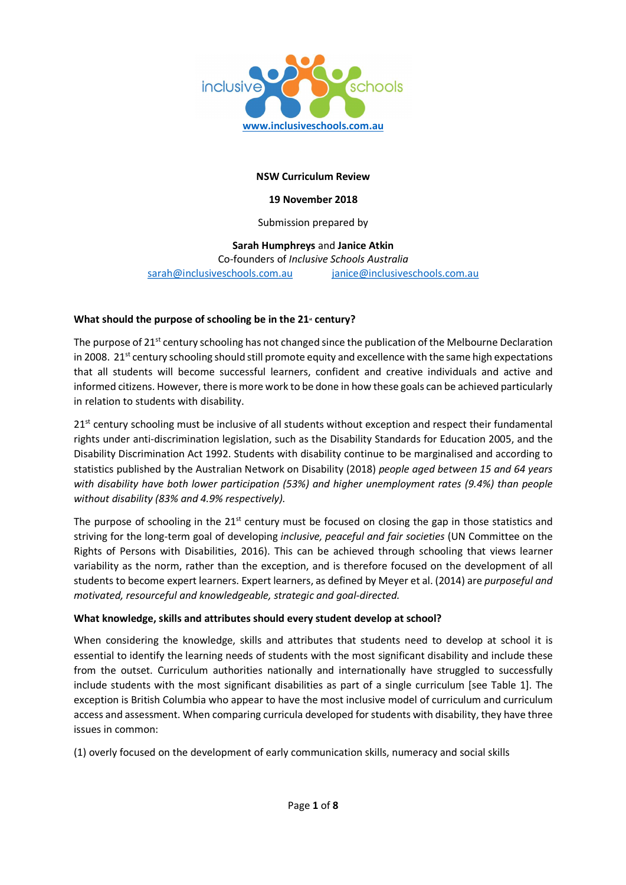

## NSW Curriculum Review

#### 19 November 2018

## Submission prepared by

# Sarah Humphreys and Janice Atkin Co-founders of Inclusive Schools Australia sarah@inclusiveschools.com.au janice@inclusiveschools.com.au

## What should the purpose of schooling be in the  $21<sup>*</sup>$  century?

The purpose of  $21^{st}$  century schooling has not changed since the publication of the Melbourne Declaration in 2008.  $21^{st}$  century schooling should still promote equity and excellence with the same high expectations that all students will become successful learners, confident and creative individuals and active and informed citizens. However, there is more work to be done in how these goals can be achieved particularly in relation to students with disability.

21<sup>st</sup> century schooling must be inclusive of all students without exception and respect their fundamental rights under anti-discrimination legislation, such as the Disability Standards for Education 2005, and the Disability Discrimination Act 1992. Students with disability continue to be marginalised and according to statistics published by the Australian Network on Disability (2018) people aged between 15 and 64 years with disability have both lower participation (53%) and higher unemployment rates (9.4%) than people without disability (83% and 4.9% respectively).

The purpose of schooling in the  $21<sup>st</sup>$  century must be focused on closing the gap in those statistics and striving for the long-term goal of developing *inclusive, peaceful and fair societies* (UN Committee on the Rights of Persons with Disabilities, 2016). This can be achieved through schooling that views learner variability as the norm, rather than the exception, and is therefore focused on the development of all students to become expert learners. Expert learners, as defined by Meyer et al. (2014) are *purposeful and* motivated, resourceful and knowledgeable, strategic and goal-directed.

#### What knowledge, skills and attributes should every student develop at school?

When considering the knowledge, skills and attributes that students need to develop at school it is essential to identify the learning needs of students with the most significant disability and include these from the outset. Curriculum authorities nationally and internationally have struggled to successfully include students with the most significant disabilities as part of a single curriculum [see Table 1]. The exception is British Columbia who appear to have the most inclusive model of curriculum and curriculum access and assessment. When comparing curricula developed for students with disability, they have three issues in common:

(1) overly focused on the development of early communication skills, numeracy and social skills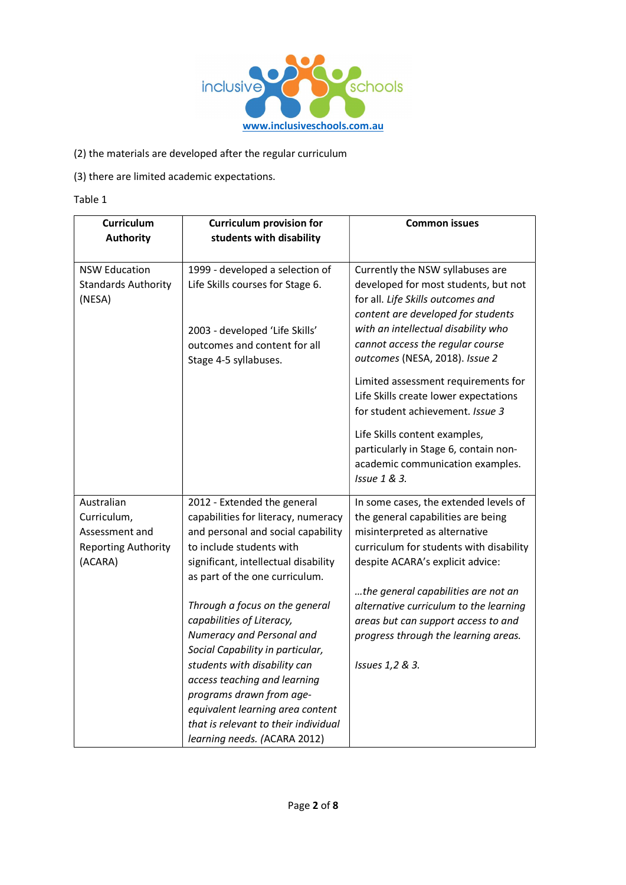

(2) the materials are developed after the regular curriculum

(3) there are limited academic expectations.

Table 1

| Curriculum<br><b>Authority</b>                                                       | <b>Curriculum provision for</b><br>students with disability                                                                                                                                                                                                                                                                                                                                                                                                                                                            | <b>Common issues</b>                                                                                                                                                                                                                                                                                                                                                                 |
|--------------------------------------------------------------------------------------|------------------------------------------------------------------------------------------------------------------------------------------------------------------------------------------------------------------------------------------------------------------------------------------------------------------------------------------------------------------------------------------------------------------------------------------------------------------------------------------------------------------------|--------------------------------------------------------------------------------------------------------------------------------------------------------------------------------------------------------------------------------------------------------------------------------------------------------------------------------------------------------------------------------------|
| <b>NSW Education</b><br><b>Standards Authority</b><br>(NESA)                         | 1999 - developed a selection of<br>Life Skills courses for Stage 6.<br>2003 - developed 'Life Skills'<br>outcomes and content for all<br>Stage 4-5 syllabuses.                                                                                                                                                                                                                                                                                                                                                         | Currently the NSW syllabuses are<br>developed for most students, but not<br>for all. Life Skills outcomes and<br>content are developed for students<br>with an intellectual disability who<br>cannot access the regular course<br>outcomes (NESA, 2018). Issue 2<br>Limited assessment requirements for<br>Life Skills create lower expectations<br>for student achievement. Issue 3 |
|                                                                                      |                                                                                                                                                                                                                                                                                                                                                                                                                                                                                                                        | Life Skills content examples,<br>particularly in Stage 6, contain non-<br>academic communication examples.<br>Issue 1 & 3.                                                                                                                                                                                                                                                           |
| Australian<br>Curriculum,<br>Assessment and<br><b>Reporting Authority</b><br>(ACARA) | 2012 - Extended the general<br>capabilities for literacy, numeracy<br>and personal and social capability<br>to include students with<br>significant, intellectual disability<br>as part of the one curriculum.<br>Through a focus on the general<br>capabilities of Literacy,<br>Numeracy and Personal and<br>Social Capability in particular,<br>students with disability can<br>access teaching and learning<br>programs drawn from age-<br>equivalent learning area content<br>that is relevant to their individual | In some cases, the extended levels of<br>the general capabilities are being<br>misinterpreted as alternative<br>curriculum for students with disability<br>despite ACARA's explicit advice:<br>the general capabilities are not an<br>alternative curriculum to the learning<br>areas but can support access to and<br>progress through the learning areas.<br>Issues 1,2 & 3.       |
|                                                                                      | learning needs. (ACARA 2012)                                                                                                                                                                                                                                                                                                                                                                                                                                                                                           |                                                                                                                                                                                                                                                                                                                                                                                      |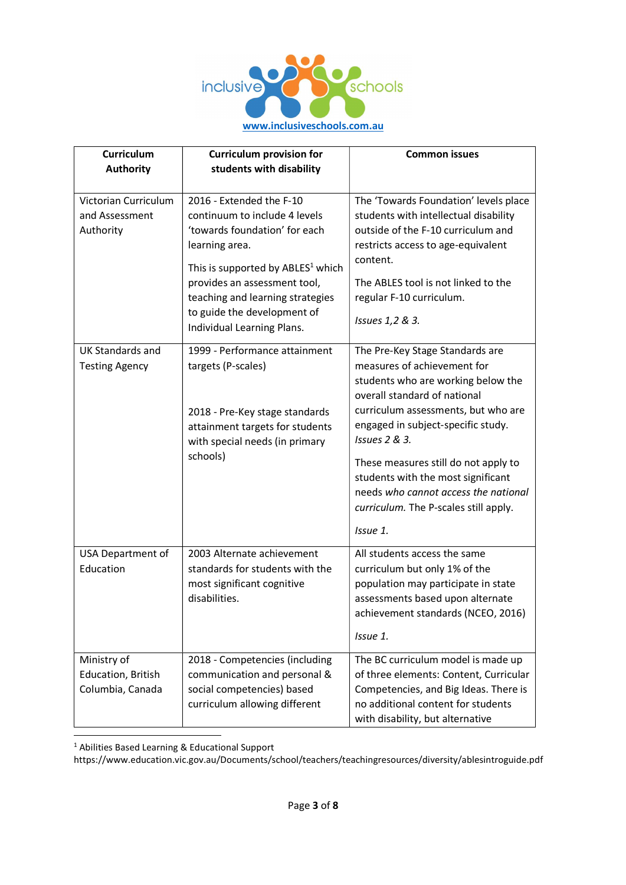

| Curriculum                                            | <b>Curriculum provision for</b>                                                                                                                                                                                                                                                                | <b>Common issues</b>                                                                                                                                                                                                                                                                                                                                                                                          |
|-------------------------------------------------------|------------------------------------------------------------------------------------------------------------------------------------------------------------------------------------------------------------------------------------------------------------------------------------------------|---------------------------------------------------------------------------------------------------------------------------------------------------------------------------------------------------------------------------------------------------------------------------------------------------------------------------------------------------------------------------------------------------------------|
| <b>Authority</b>                                      | students with disability                                                                                                                                                                                                                                                                       |                                                                                                                                                                                                                                                                                                                                                                                                               |
| Victorian Curriculum<br>and Assessment<br>Authority   | 2016 - Extended the F-10<br>continuum to include 4 levels<br>'towards foundation' for each<br>learning area.<br>This is supported by ABLES <sup>1</sup> which<br>provides an assessment tool,<br>teaching and learning strategies<br>to guide the development of<br>Individual Learning Plans. | The 'Towards Foundation' levels place<br>students with intellectual disability<br>outside of the F-10 curriculum and<br>restricts access to age-equivalent<br>content.<br>The ABLES tool is not linked to the<br>regular F-10 curriculum.<br>Issues 1,2 & 3.                                                                                                                                                  |
| <b>UK Standards and</b><br><b>Testing Agency</b>      | 1999 - Performance attainment<br>targets (P-scales)<br>2018 - Pre-Key stage standards<br>attainment targets for students<br>with special needs (in primary<br>schools)                                                                                                                         | The Pre-Key Stage Standards are<br>measures of achievement for<br>students who are working below the<br>overall standard of national<br>curriculum assessments, but who are<br>engaged in subject-specific study.<br>Issues 2 & 3.<br>These measures still do not apply to<br>students with the most significant<br>needs who cannot access the national<br>curriculum. The P-scales still apply.<br>Issue 1. |
| USA Department of<br>Education                        | 2003 Alternate achievement<br>standards for students with the<br>most significant cognitive<br>disabilities.                                                                                                                                                                                   | All students access the same<br>curriculum but only 1% of the<br>population may participate in state<br>assessments based upon alternate<br>achievement standards (NCEO, 2016)<br>Issue 1.                                                                                                                                                                                                                    |
| Ministry of<br>Education, British<br>Columbia, Canada | 2018 - Competencies (including<br>communication and personal &<br>social competencies) based<br>curriculum allowing different                                                                                                                                                                  | The BC curriculum model is made up<br>of three elements: Content, Curricular<br>Competencies, and Big Ideas. There is<br>no additional content for students<br>with disability, but alternative                                                                                                                                                                                                               |

1 Abilities Based Learning & Educational Support

https://www.education.vic.gov.au/Documents/school/teachers/teachingresources/diversity/ablesintroguide.pdf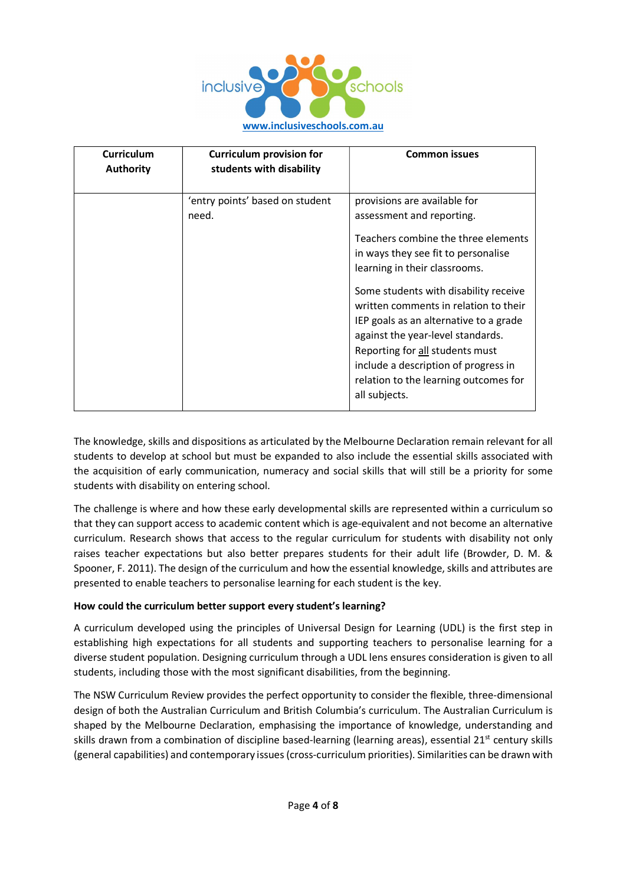

| <b>Curriculum</b><br><b>Authority</b> | <b>Curriculum provision for</b><br>students with disability | <b>Common issues</b>                                                                                                                                                                                                                                                                                                                                                                                                                                                           |
|---------------------------------------|-------------------------------------------------------------|--------------------------------------------------------------------------------------------------------------------------------------------------------------------------------------------------------------------------------------------------------------------------------------------------------------------------------------------------------------------------------------------------------------------------------------------------------------------------------|
|                                       | 'entry points' based on student<br>need.                    | provisions are available for<br>assessment and reporting.<br>Teachers combine the three elements<br>in ways they see fit to personalise<br>learning in their classrooms.<br>Some students with disability receive<br>written comments in relation to their<br>IEP goals as an alternative to a grade<br>against the year-level standards.<br>Reporting for all students must<br>include a description of progress in<br>relation to the learning outcomes for<br>all subjects. |

The knowledge, skills and dispositions as articulated by the Melbourne Declaration remain relevant for all students to develop at school but must be expanded to also include the essential skills associated with the acquisition of early communication, numeracy and social skills that will still be a priority for some students with disability on entering school.

The challenge is where and how these early developmental skills are represented within a curriculum so that they can support access to academic content which is age-equivalent and not become an alternative curriculum. Research shows that access to the regular curriculum for students with disability not only raises teacher expectations but also better prepares students for their adult life (Browder, D. M. & Spooner, F. 2011). The design of the curriculum and how the essential knowledge, skills and attributes are presented to enable teachers to personalise learning for each student is the key.

# How could the curriculum better support every student's learning?

A curriculum developed using the principles of Universal Design for Learning (UDL) is the first step in establishing high expectations for all students and supporting teachers to personalise learning for a diverse student population. Designing curriculum through a UDL lens ensures consideration is given to all students, including those with the most significant disabilities, from the beginning.

The NSW Curriculum Review provides the perfect opportunity to consider the flexible, three-dimensional design of both the Australian Curriculum and British Columbia's curriculum. The Australian Curriculum is shaped by the Melbourne Declaration, emphasising the importance of knowledge, understanding and skills drawn from a combination of discipline based-learning (learning areas), essential 21<sup>st</sup> century skills (general capabilities) and contemporary issues (cross-curriculum priorities). Similarities can be drawn with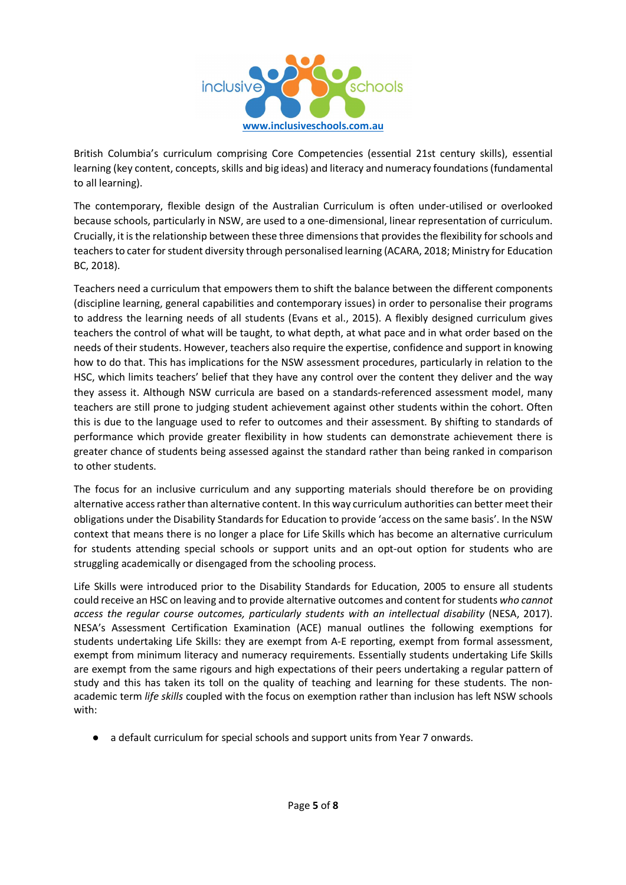

British Columbia's curriculum comprising Core Competencies (essential 21st century skills), essential learning (key content, concepts, skills and big ideas) and literacy and numeracy foundations (fundamental to all learning).

The contemporary, flexible design of the Australian Curriculum is often under-utilised or overlooked because schools, particularly in NSW, are used to a one-dimensional, linear representation of curriculum. Crucially, it is the relationship between these three dimensions that provides the flexibility for schools and teachers to cater for student diversity through personalised learning (ACARA, 2018; Ministry for Education BC, 2018).

Teachers need a curriculum that empowers them to shift the balance between the different components (discipline learning, general capabilities and contemporary issues) in order to personalise their programs to address the learning needs of all students (Evans et al., 2015). A flexibly designed curriculum gives teachers the control of what will be taught, to what depth, at what pace and in what order based on the needs of their students. However, teachers also require the expertise, confidence and support in knowing how to do that. This has implications for the NSW assessment procedures, particularly in relation to the HSC, which limits teachers' belief that they have any control over the content they deliver and the way they assess it. Although NSW curricula are based on a standards-referenced assessment model, many teachers are still prone to judging student achievement against other students within the cohort. Often this is due to the language used to refer to outcomes and their assessment. By shifting to standards of performance which provide greater flexibility in how students can demonstrate achievement there is greater chance of students being assessed against the standard rather than being ranked in comparison to other students.

The focus for an inclusive curriculum and any supporting materials should therefore be on providing alternative access rather than alternative content. In this way curriculum authorities can better meet their obligations under the Disability Standards for Education to provide 'access on the same basis'. In the NSW context that means there is no longer a place for Life Skills which has become an alternative curriculum for students attending special schools or support units and an opt-out option for students who are struggling academically or disengaged from the schooling process.

Life Skills were introduced prior to the Disability Standards for Education, 2005 to ensure all students could receive an HSC on leaving and to provide alternative outcomes and content for students who cannot access the regular course outcomes, particularly students with an intellectual disability (NESA, 2017). NESA's Assessment Certification Examination (ACE) manual outlines the following exemptions for students undertaking Life Skills: they are exempt from A-E reporting, exempt from formal assessment, exempt from minimum literacy and numeracy requirements. Essentially students undertaking Life Skills are exempt from the same rigours and high expectations of their peers undertaking a regular pattern of study and this has taken its toll on the quality of teaching and learning for these students. The nonacademic term life skills coupled with the focus on exemption rather than inclusion has left NSW schools with:

● a default curriculum for special schools and support units from Year 7 onwards.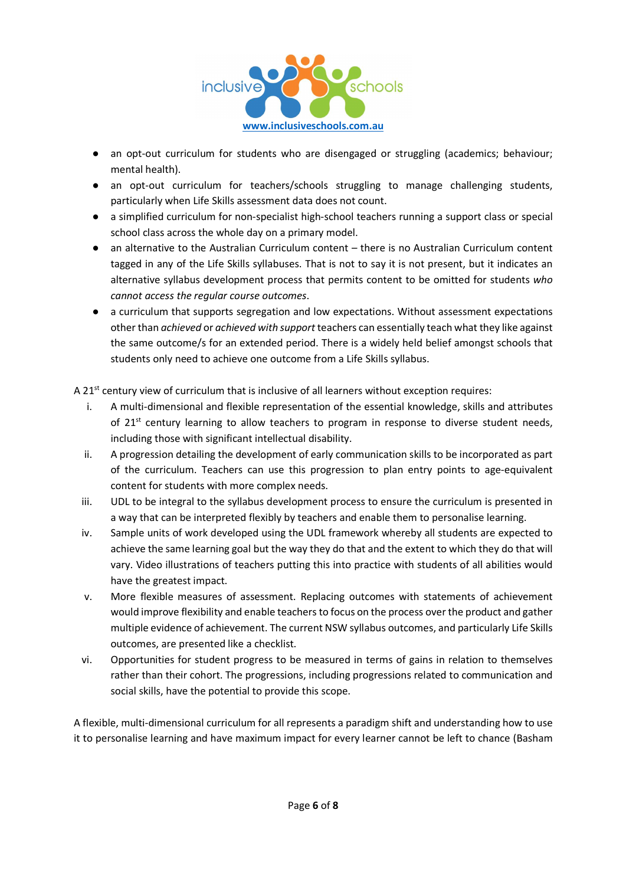

- an opt-out curriculum for students who are disengaged or struggling (academics; behaviour; mental health).
- an opt-out curriculum for teachers/schools struggling to manage challenging students, particularly when Life Skills assessment data does not count.
- a simplified curriculum for non-specialist high-school teachers running a support class or special school class across the whole day on a primary model.
- an alternative to the Australian Curriculum content there is no Australian Curriculum content tagged in any of the Life Skills syllabuses. That is not to say it is not present, but it indicates an alternative syllabus development process that permits content to be omitted for students who cannot access the regular course outcomes.
- a curriculum that supports segregation and low expectations. Without assessment expectations other than *achieved* or *achieved with support* teachers can essentially teach what they like against the same outcome/s for an extended period. There is a widely held belief amongst schools that students only need to achieve one outcome from a Life Skills syllabus.

A 21<sup>st</sup> century view of curriculum that is inclusive of all learners without exception requires:

- i. A multi-dimensional and flexible representation of the essential knowledge, skills and attributes of  $21^{st}$  century learning to allow teachers to program in response to diverse student needs, including those with significant intellectual disability.
- ii. A progression detailing the development of early communication skills to be incorporated as part of the curriculum. Teachers can use this progression to plan entry points to age-equivalent content for students with more complex needs.
- iii. UDL to be integral to the syllabus development process to ensure the curriculum is presented in a way that can be interpreted flexibly by teachers and enable them to personalise learning.
- iv. Sample units of work developed using the UDL framework whereby all students are expected to achieve the same learning goal but the way they do that and the extent to which they do that will vary. Video illustrations of teachers putting this into practice with students of all abilities would have the greatest impact.
- v. More flexible measures of assessment. Replacing outcomes with statements of achievement would improve flexibility and enable teachers to focus on the process over the product and gather multiple evidence of achievement. The current NSW syllabus outcomes, and particularly Life Skills outcomes, are presented like a checklist.
- vi. Opportunities for student progress to be measured in terms of gains in relation to themselves rather than their cohort. The progressions, including progressions related to communication and social skills, have the potential to provide this scope.

A flexible, multi-dimensional curriculum for all represents a paradigm shift and understanding how to use it to personalise learning and have maximum impact for every learner cannot be left to chance (Basham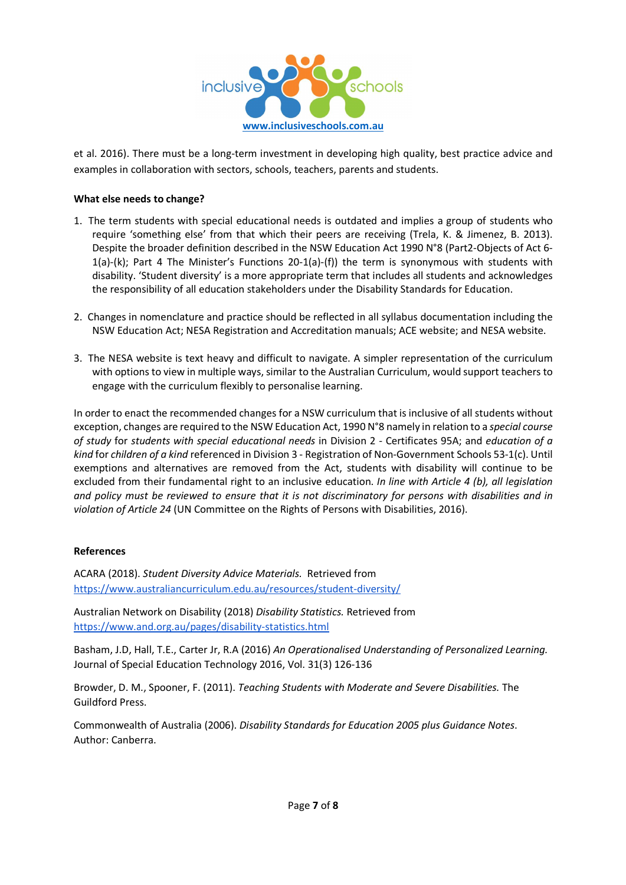

et al. 2016). There must be a long-term investment in developing high quality, best practice advice and examples in collaboration with sectors, schools, teachers, parents and students.

## What else needs to change?

- 1. The term students with special educational needs is outdated and implies a group of students who require 'something else' from that which their peers are receiving (Trela, K. & Jimenez, B. 2013). Despite the broader definition described in the NSW Education Act 1990 N°8 (Part2-Objects of Act 6- 1(a)-(k); Part 4 The Minister's Functions 20-1(a)-(f)) the term is synonymous with students with disability. 'Student diversity' is a more appropriate term that includes all students and acknowledges the responsibility of all education stakeholders under the Disability Standards for Education.
- 2. Changes in nomenclature and practice should be reflected in all syllabus documentation including the NSW Education Act; NESA Registration and Accreditation manuals; ACE website; and NESA website.
- 3. The NESA website is text heavy and difficult to navigate. A simpler representation of the curriculum with options to view in multiple ways, similar to the Australian Curriculum, would support teachers to engage with the curriculum flexibly to personalise learning.

In order to enact the recommended changes for a NSW curriculum that is inclusive of all students without exception, changes are required to the NSW Education Act, 1990 N°8 namely in relation to a special course of study for students with special educational needs in Division 2 - Certificates 95A; and education of a kind for children of a kind referenced in Division 3 - Registration of Non-Government Schools 53-1(c). Until exemptions and alternatives are removed from the Act, students with disability will continue to be excluded from their fundamental right to an inclusive education. In line with Article 4 (b), all legislation and policy must be reviewed to ensure that it is not discriminatory for persons with disabilities and in violation of Article 24 (UN Committee on the Rights of Persons with Disabilities, 2016).

#### References

ACARA (2018). Student Diversity Advice Materials. Retrieved from https://www.australiancurriculum.edu.au/resources/student-diversity/

Australian Network on Disability (2018) Disability Statistics. Retrieved from https://www.and.org.au/pages/disability-statistics.html

Basham, J.D, Hall, T.E., Carter Jr, R.A (2016) An Operationalised Understanding of Personalized Learning. Journal of Special Education Technology 2016, Vol. 31(3) 126-136

Browder, D. M., Spooner, F. (2011). Teaching Students with Moderate and Severe Disabilities. The Guildford Press.

Commonwealth of Australia (2006). Disability Standards for Education 2005 plus Guidance Notes. Author: Canberra.